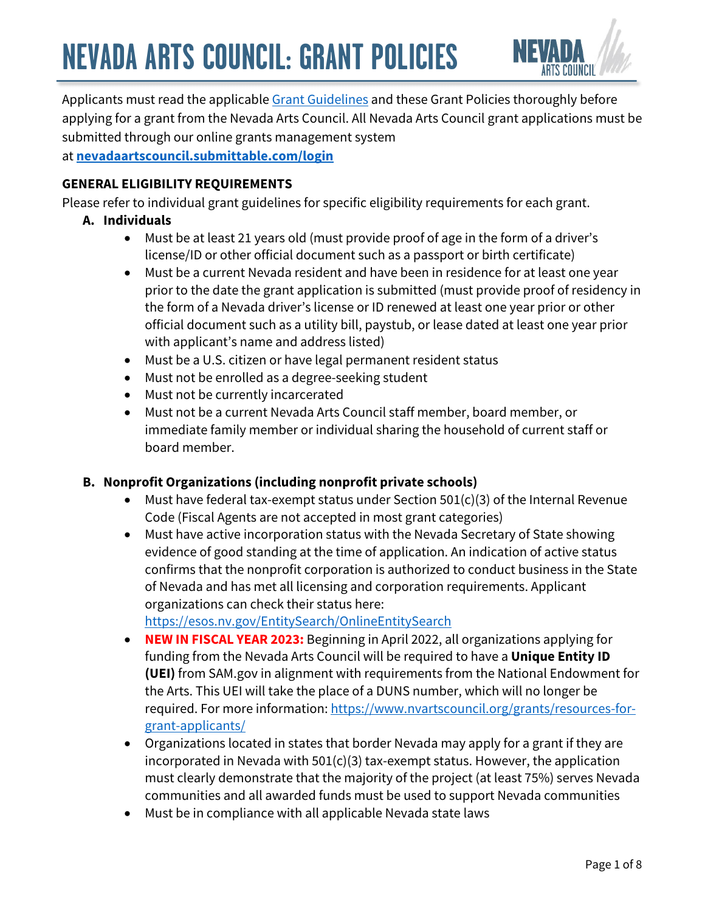

Applicants must read the applicable [Grant Guidelines](https://www.nvartscouncil.org/grants/grant-offerings/) and these Grant Policies thoroughly before applying for a grant from the Nevada Arts Council. All Nevada Arts Council grant applications must be submitted through our online grants management system at **[nevadaartscouncil.submittable.com/login](https://nevadaartscouncil.submittable.com/submit)**

### **GENERAL ELIGIBILITY REQUIREMENTS**

Please refer to individual grant guidelines for specific eligibility requirements for each grant.

### **A. Individuals**

- Must be at least 21 years old (must provide proof of age in the form of a driver's license/ID or other official document such as a passport or birth certificate)
- Must be a current Nevada resident and have been in residence for at least one year prior to the date the grant application is submitted (must provide proof of residency in the form of a Nevada driver's license or ID renewed at least one year prior or other official document such as a utility bill, paystub, or lease dated at least one year prior with applicant's name and address listed)
- Must be a U.S. citizen or have legal permanent resident status
- Must not be enrolled as a degree-seeking student
- Must not be currently incarcerated
- Must not be a current Nevada Arts Council staff member, board member, or immediate family member or individual sharing the household of current staff or board member.

### **B. Nonprofit Organizations (including nonprofit private schools)**

- Must have federal tax-exempt status under Section 501(c)(3) of the Internal Revenue Code (Fiscal Agents are not accepted in most grant categories)
- Must have active incorporation status with the Nevada Secretary of State showing evidence of good standing at the time of application. An indication of active status confirms that the nonprofit corporation is authorized to conduct business in the State of Nevada and has met all licensing and corporation requirements. Applicant organizations can check their status here:

<https://esos.nv.gov/EntitySearch/OnlineEntitySearch>

- **NEW IN FISCAL YEAR 2023:** Beginning in April 2022, all organizations applying for funding from the Nevada Arts Council will be required to have a **Unique Entity ID (UEI)** from SAM.gov in alignment with requirements from the National Endowment for the Arts. This UEI will take the place of a DUNS number, which will no longer be required. For more information: [https://www.nvartscouncil.org/grants/resources-for](https://www.nvartscouncil.org/grants/resources-for-grant-applicants/)[grant-applicants/](https://www.nvartscouncil.org/grants/resources-for-grant-applicants/)
- Organizations located in states that border Nevada may apply for a grant if they are incorporated in Nevada with 501(c)(3) tax-exempt status. However, the application must clearly demonstrate that the majority of the project (at least 75%) serves Nevada communities and all awarded funds must be used to support Nevada communities
- Must be in compliance with all applicable Nevada state laws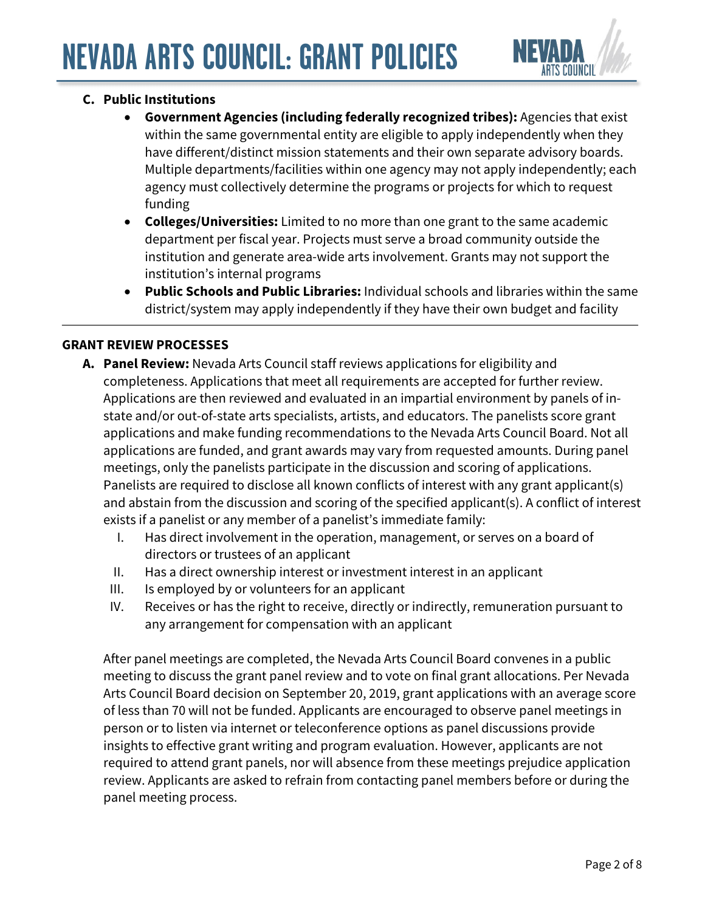

# **C. Public Institutions**

- **Government Agencies (including federally recognized tribes):** Agencies that exist within the same governmental entity are eligible to apply independently when they have different/distinct mission statements and their own separate advisory boards. Multiple departments/facilities within one agency may not apply independently; each agency must collectively determine the programs or projects for which to request funding
- **Colleges/Universities:** Limited to no more than one grant to the same academic department per fiscal year. Projects must serve a broad community outside the institution and generate area-wide arts involvement. Grants may not support the institution's internal programs
- **Public Schools and Public Libraries:** Individual schools and libraries within the same district/system may apply independently if they have their own budget and facility

### **GRANT REVIEW PROCESSES**

- **A. Panel Review:** Nevada Arts Council staff reviews applications for eligibility and completeness. Applications that meet all requirements are accepted for further review. Applications are then reviewed and evaluated in an impartial environment by panels of instate and/or out-of-state arts specialists, artists, and educators. The panelists score grant applications and make funding recommendations to the Nevada Arts Council Board. Not all applications are funded, and grant awards may vary from requested amounts. During panel meetings, only the panelists participate in the discussion and scoring of applications. Panelists are required to disclose all known conflicts of interest with any grant applicant(s) and abstain from the discussion and scoring of the specified applicant(s). A conflict of interest exists if a panelist or any member of a panelist's immediate family:
	- I. Has direct involvement in the operation, management, or serves on a board of directors or trustees of an applicant
	- II. Has a direct ownership interest or investment interest in an applicant
	- III. Is employed by or volunteers for an applicant
	- IV. Receives or has the right to receive, directly or indirectly, remuneration pursuant to any arrangement for compensation with an applicant

After panel meetings are completed, the Nevada Arts Council Board convenes in a public meeting to discuss the grant panel review and to vote on final grant allocations. Per Nevada Arts Council Board decision on September 20, 2019, grant applications with an average score of less than 70 will not be funded. Applicants are encouraged to observe panel meetings in person or to listen via internet or teleconference options as panel discussions provide insights to effective grant writing and program evaluation. However, applicants are not required to attend grant panels, nor will absence from these meetings prejudice application review. Applicants are asked to refrain from contacting panel members before or during the panel meeting process.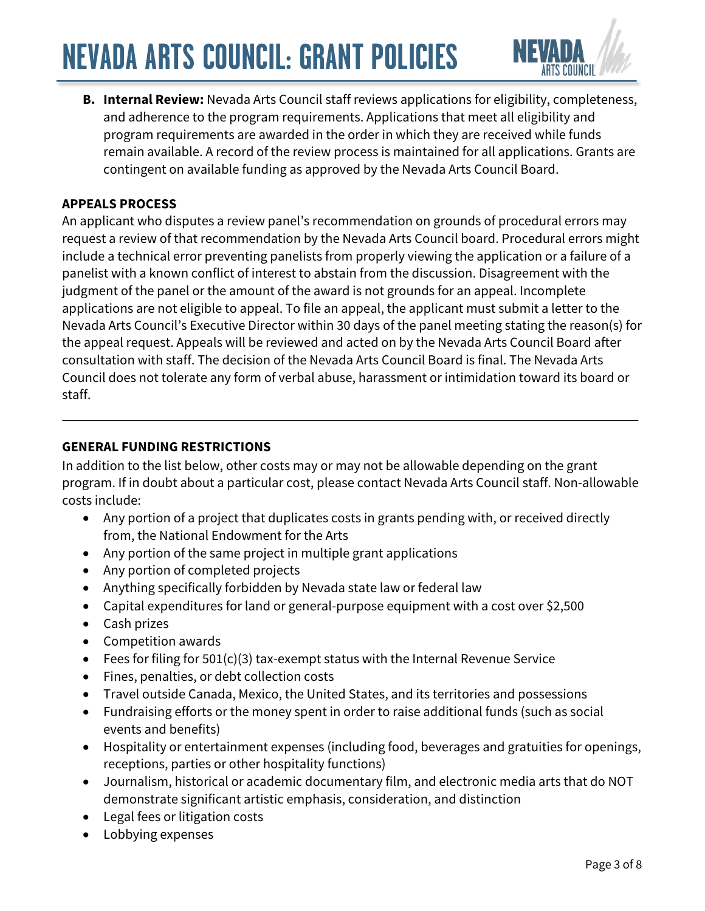

**B. Internal Review:** Nevada Arts Council staff reviews applications for eligibility, completeness, and adherence to the program requirements. Applications that meet all eligibility and program requirements are awarded in the order in which they are received while funds remain available. A record of the review process is maintained for all applications. Grants are contingent on available funding as approved by the Nevada Arts Council Board.

### **APPEALS PROCESS**

An applicant who disputes a review panel's recommendation on grounds of procedural errors may request a review of that recommendation by the Nevada Arts Council board. Procedural errors might include a technical error preventing panelists from properly viewing the application or a failure of a panelist with a known conflict of interest to abstain from the discussion. Disagreement with the judgment of the panel or the amount of the award is not grounds for an appeal. Incomplete applications are not eligible to appeal. To file an appeal, the applicant must submit a letter to the Nevada Arts Council's Executive Director within 30 days of the panel meeting stating the reason(s) for the appeal request. Appeals will be reviewed and acted on by the Nevada Arts Council Board after consultation with staff. The decision of the Nevada Arts Council Board is final. The Nevada Arts Council does not tolerate any form of verbal abuse, harassment or intimidation toward its board or staff.

#### **GENERAL FUNDING RESTRICTIONS**

In addition to the list below, other costs may or may not be allowable depending on the grant program. If in doubt about a particular cost, please contact Nevada Arts Council staff. Non-allowable costs include:

- Any portion of a project that duplicates costs in grants pending with, or received directly from, the National Endowment for the Arts
- Any portion of the same project in multiple grant applications
- Any portion of completed projects
- Anything specifically forbidden by Nevada state law or federal law
- Capital expenditures for land or general-purpose equipment with a cost over \$2,500
- Cash prizes
- Competition awards
- Fees for filing for 501(c)(3) tax-exempt status with the Internal Revenue Service
- Fines, penalties, or debt collection costs
- Travel outside Canada, Mexico, the United States, and its territories and possessions
- Fundraising efforts or the money spent in order to raise additional funds (such as social events and benefits)
- Hospitality or entertainment expenses (including food, beverages and gratuities for openings, receptions, parties or other hospitality functions)
- Journalism, historical or academic documentary film, and electronic media arts that do NOT demonstrate significant artistic emphasis, consideration, and distinction
- Legal fees or litigation costs
- Lobbying expenses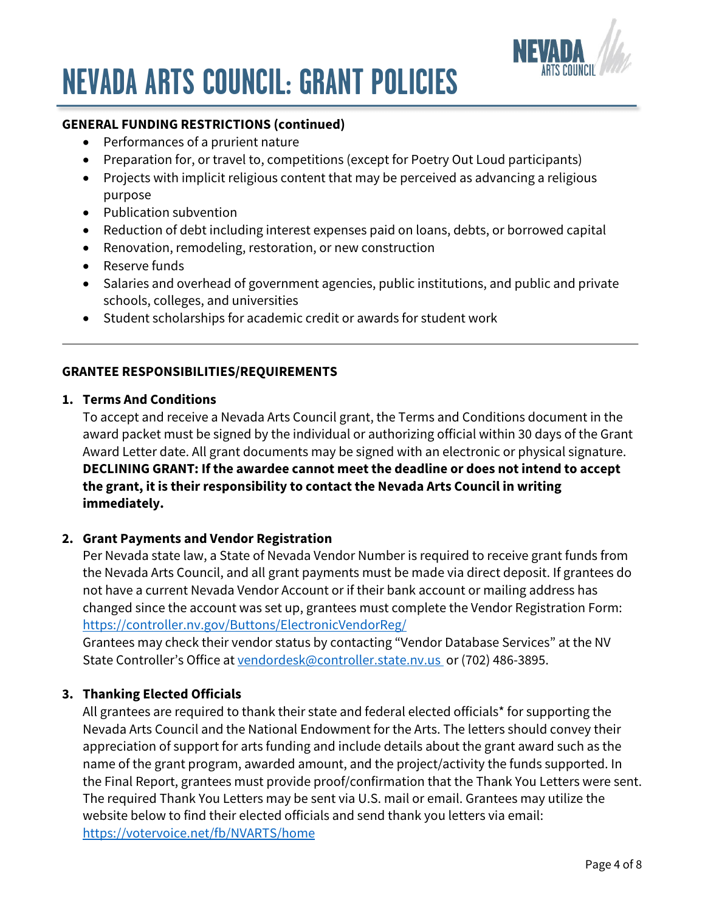

### **GENERAL FUNDING RESTRICTIONS (continued)**

- Performances of a prurient nature
- Preparation for, or travel to, competitions (except for Poetry Out Loud participants)
- Projects with implicit religious content that may be perceived as advancing a religious purpose
- Publication subvention
- Reduction of debt including interest expenses paid on loans, debts, or borrowed capital
- Renovation, remodeling, restoration, or new construction
- Reserve funds
- Salaries and overhead of government agencies, public institutions, and public and private schools, colleges, and universities
- Student scholarships for academic credit or awards for student work

### **GRANTEE RESPONSIBILITIES/REQUIREMENTS**

#### **1. Terms And Conditions**

To accept and receive a Nevada Arts Council grant, the Terms and Conditions document in the award packet must be signed by the individual or authorizing official within 30 days of the Grant Award Letter date. All grant documents may be signed with an electronic or physical signature. **DECLINING GRANT: If the awardee cannot meet the deadline or does not intend to accept the grant, it is their responsibility to contact the Nevada Arts Council in writing immediately.**

#### **2. Grant Payments and Vendor Registration**

Per Nevada state law, a State of Nevada Vendor Number is required to receive grant funds from the Nevada Arts Council, and all grant payments must be made via direct deposit. If grantees do not have a current Nevada Vendor Account or if their bank account or mailing address has changed since the account was set up, grantees must complete the Vendor Registration Form: <https://controller.nv.gov/Buttons/ElectronicVendorReg/>

Grantees may check their vendor status by contacting "Vendor Database Services" at the NV State Controller's Office at [vendordesk@controller.state.nv.us o](mailto: vendordesk@controller.state.nv.us)r (702) 486-3895.

#### **3. Thanking Elected Officials**

All grantees are required to thank their state and federal elected officials\* for supporting the Nevada Arts Council and the National Endowment for the Arts. The letters should convey their appreciation of support for arts funding and include details about the grant award such as the name of the grant program, awarded amount, and the project/activity the funds supported. In the Final Report, grantees must provide proof/confirmation that the Thank You Letters were sent. The required Thank You Letters may be sent via U.S. mail or email. Grantees may utilize the website below to find their elected officials and send thank you letters via email: <https://votervoice.net/fb/NVARTS/home>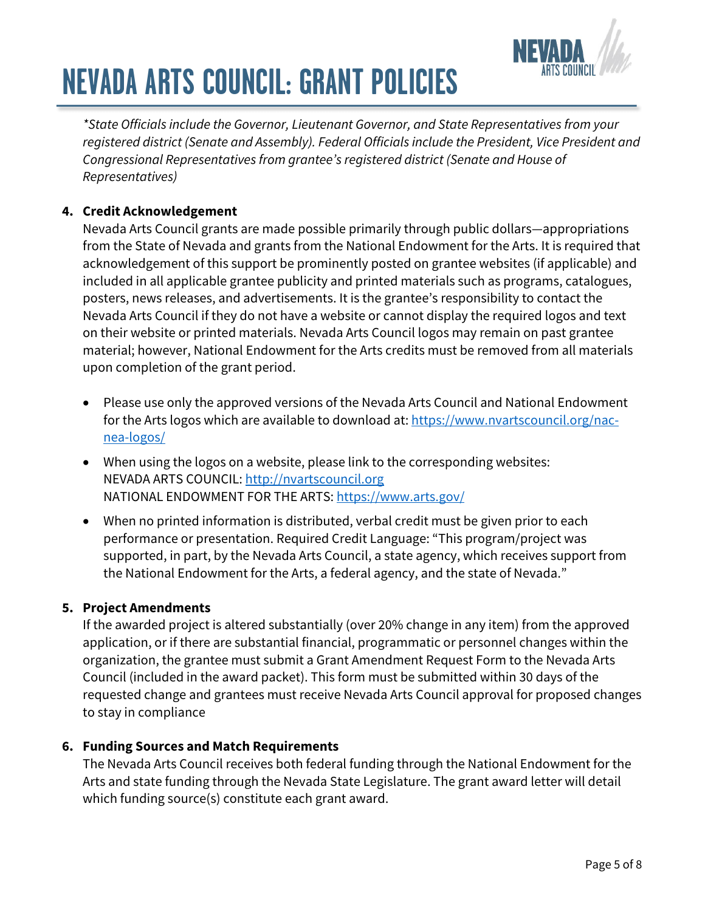

*\*State Officials include the Governor, Lieutenant Governor, and State Representatives from your registered district (Senate and Assembly). Federal Officials include the President, Vice President and Congressional Representatives from grantee's registered district (Senate and House of Representatives)*

# **4. Credit Acknowledgement**

Nevada Arts Council grants are made possible primarily through public dollars—appropriations from the State of Nevada and grants from the National Endowment for the Arts. It is required that acknowledgement of this support be prominently posted on grantee websites (if applicable) and included in all applicable grantee publicity and printed materials such as programs, catalogues, posters, news releases, and advertisements. It is the grantee's responsibility to contact the Nevada Arts Council if they do not have a website or cannot display the required logos and text on their website or printed materials. Nevada Arts Council logos may remain on past grantee material; however, National Endowment for the Arts credits must be removed from all materials upon completion of the grant period.

- Please use only the approved versions of the Nevada Arts Council and National Endowment for the Arts logos which are available to download at: [https://www.nvartscouncil.org/nac](https://www.nvartscouncil.org/nac-nea-logos/)[nea-logos/](https://www.nvartscouncil.org/nac-nea-logos/)
- When using the logos on a website, please link to the corresponding websites: NEVADA ARTS COUNCIL: [http://nvartscouncil.org](https://www.nvartscouncil.org/) NATIONAL ENDOWMENT FOR THE ARTS: <https://www.arts.gov/>
- When no printed information is distributed, verbal credit must be given prior to each performance or presentation. Required Credit Language: "This program/project was supported, in part, by the Nevada Arts Council, a state agency, which receives support from the National Endowment for the Arts, a federal agency, and the state of Nevada."

### **5. Project Amendments**

If the awarded project is altered substantially (over 20% change in any item) from the approved application, or if there are substantial financial, programmatic or personnel changes within the organization, the grantee must submit a Grant Amendment Request Form to the Nevada Arts Council (included in the award packet). This form must be submitted within 30 days of the requested change and grantees must receive Nevada Arts Council approval for proposed changes to stay in compliance

### **6. Funding Sources and Match Requirements**

The Nevada Arts Council receives both federal funding through the National Endowment for the Arts and state funding through the Nevada State Legislature. The grant award letter will detail which funding source(s) constitute each grant award.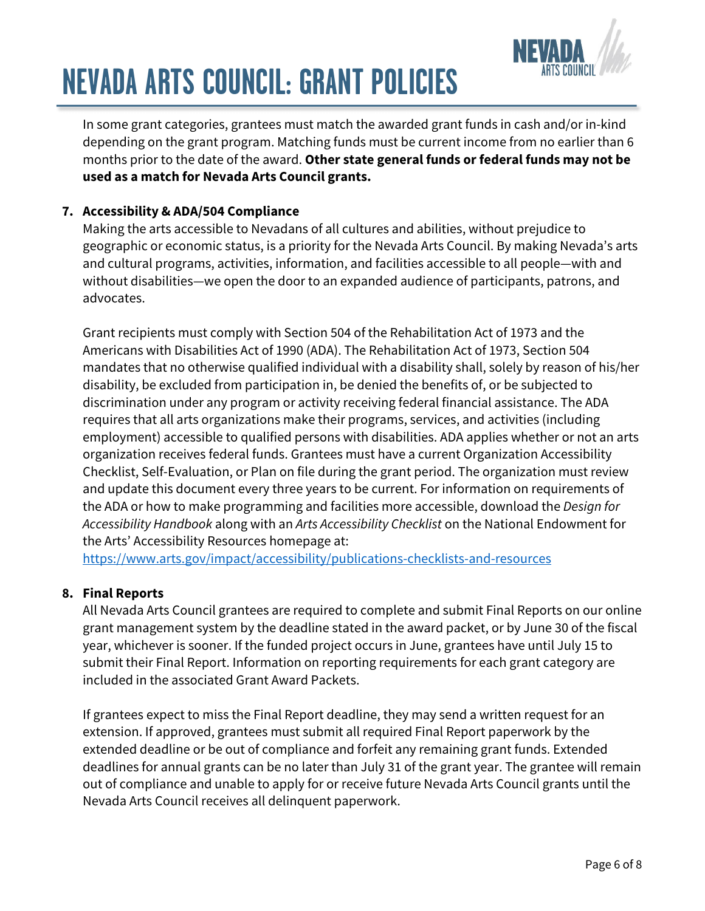

In some grant categories, grantees must match the awarded grant funds in cash and/or in-kind depending on the grant program. Matching funds must be current income from no earlier than 6 months prior to the date of the award. **Other state general funds or federal funds may not be used as a match for Nevada Arts Council grants.**

### **7. Accessibility & ADA/504 Compliance**

Making the arts accessible to Nevadans of all cultures and abilities, without prejudice to geographic or economic status, is a priority for the Nevada Arts Council. By making Nevada's arts and cultural programs, activities, information, and facilities accessible to all people—with and without disabilities—we open the door to an expanded audience of participants, patrons, and advocates.

Grant recipients must comply with Section 504 of the Rehabilitation Act of 1973 and the Americans with Disabilities Act of 1990 (ADA). The Rehabilitation Act of 1973, Section 504 mandates that no otherwise qualified individual with a disability shall, solely by reason of his/her disability, be excluded from participation in, be denied the benefits of, or be subjected to discrimination under any program or activity receiving federal financial assistance. The ADA requires that all arts organizations make their programs, services, and activities (including employment) accessible to qualified persons with disabilities. ADA applies whether or not an arts organization receives federal funds. Grantees must have a current Organization Accessibility Checklist, Self-Evaluation, or Plan on file during the grant period. The organization must review and update this document every three years to be current. For information on requirements of the ADA or how to make programming and facilities more accessible, download the *Design for Accessibility Handbook* along with an *Arts Accessibility Checklist* on the National Endowment for the Arts' Accessibility Resources homepage at:

<https://www.arts.gov/impact/accessibility/publications-checklists-and-resources>

### **8. Final Reports**

All Nevada Arts Council grantees are required to complete and submit Final Reports on our online grant management system by the deadline stated in the award packet, or by June 30 of the fiscal year, whichever is sooner. If the funded project occurs in June, grantees have until July 15 to submit their Final Report. Information on reporting requirements for each grant category are included in the associated Grant Award Packets.

If grantees expect to miss the Final Report deadline, they may send a written request for an extension. If approved, grantees must submit all required Final Report paperwork by the extended deadline or be out of compliance and forfeit any remaining grant funds. Extended deadlines for annual grants can be no later than July 31 of the grant year. The grantee will remain out of compliance and unable to apply for or receive future Nevada Arts Council grants until the Nevada Arts Council receives all delinquent paperwork.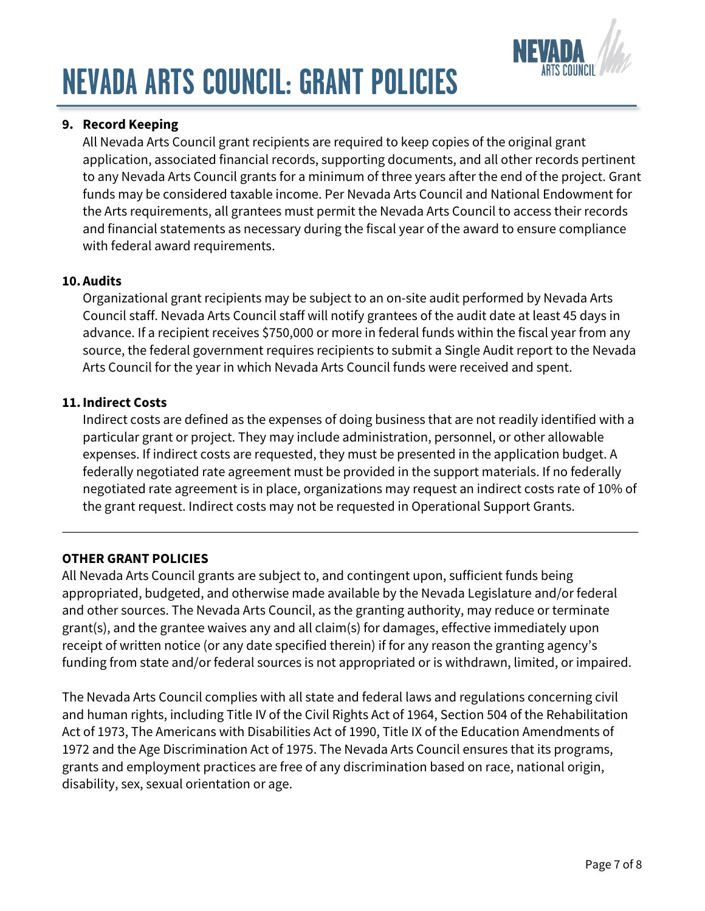

## **9. Record Keeping**

All Nevada Arts Council grant recipients are required to keep copies of the original grant application, associated financial records, supporting documents, and all other records pertinent to any Nevada Arts Council grants for a minimum of three years after the end of the project. Grant funds may be considered taxable income. Per Nevada Arts Council and National Endowment for the Arts requirements, all grantees must permit the Nevada Arts Council to access their records and financial statements as necessary during the fiscal year of the award to ensure compliance with federal award requirements.

### **10. Audits**

Organizational grant recipients may be subject to an on-site audit performed by Nevada Arts Council staff. Nevada Arts Council staff will notify grantees of the audit date at least 45 days in advance. If a recipient receives \$750,000 or more in federal funds within the fiscal year from any source, the federal government requires recipients to submit a Single Audit report to the Nevada Arts Council for the year in which Nevada Arts Council funds were received and spent.

### **11.Indirect Costs**

Indirect costs are defined as the expenses of doing business that are not readily identified with a particular grant or project. They may include administration, personnel, or other allowable expenses. If indirect costs are requested, they must be presented in the application budget. A federally negotiated rate agreement must be provided in the support materials. If no federally negotiated rate agreement is in place, organizations may request an indirect costs rate of 10% of the grant request. Indirect costs may not be requested in Operational Support Grants.

### **OTHER GRANT POLICIES**

All Nevada Arts Council grants are subject to, and contingent upon, sufficient funds being appropriated, budgeted, and otherwise made available by the Nevada Legislature and/or federal and other sources. The Nevada Arts Council, as the granting authority, may reduce or terminate grant(s), and the grantee waives any and all claim(s) for damages, effective immediately upon receipt of written notice (or any date specified therein) if for any reason the granting agency's funding from state and/or federal sources is not appropriated or is withdrawn, limited, or impaired.

The Nevada Arts Council complies with all state and federal laws and regulations concerning civil and human rights, including Title IV of the Civil Rights Act of 1964, Section 504 of the Rehabilitation Act of 1973, The Americans with Disabilities Act of 1990, Title IX of the Education Amendments of 1972 and the Age Discrimination Act of 1975. The Nevada Arts Council ensures that its programs, grants and employment practices are free of any discrimination based on race, national origin, disability, sex, sexual orientation or age.